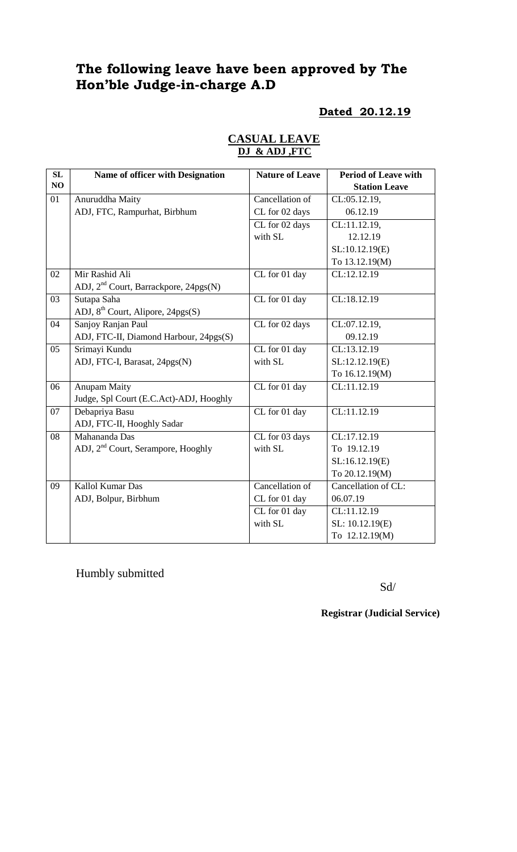# **The following leave have been approved by The Hon'ble Judge-in-charge A.D**

## **Dated 20.12.19**

| SL | Name of officer with Designation                  | <b>Nature of Leave</b> | <b>Period of Leave with</b> |
|----|---------------------------------------------------|------------------------|-----------------------------|
| NO |                                                   |                        | <b>Station Leave</b>        |
| 01 | Anuruddha Maity                                   | Cancellation of        | CL:05.12.19,                |
|    | ADJ, FTC, Rampurhat, Birbhum                      | CL for 02 days         | 06.12.19                    |
|    |                                                   | CL for 02 days         | CL:11.12.19,                |
|    |                                                   | with SL                | 12.12.19                    |
|    |                                                   |                        | SL:10.12.19(E)              |
|    |                                                   |                        | To 13.12.19(M)              |
| 02 | Mir Rashid Ali                                    | CL for 01 day          | CL:12.12.19                 |
|    | ADJ, 2 <sup>nd</sup> Court, Barrackpore, 24pgs(N) |                        |                             |
| 03 | Sutapa Saha                                       | CL for 01 day          | CL:18.12.19                 |
|    | ADJ, 8 <sup>th</sup> Court, Alipore, 24pgs(S)     |                        |                             |
| 04 | Sanjoy Ranjan Paul                                | CL for 02 days         | CL:07.12.19,                |
|    | ADJ, FTC-II, Diamond Harbour, 24pgs(S)            |                        | 09.12.19                    |
| 05 | Srimayi Kundu                                     | CL for 01 day          | CL:13.12.19                 |
|    | ADJ, FTC-I, Barasat, 24pgs(N)                     | with SL                | SL:12.12.19(E)              |
|    |                                                   |                        | To 16.12.19(M)              |
| 06 | <b>Anupam Maity</b>                               | CL for 01 day          | CL:11.12.19                 |
|    | Judge, Spl Court (E.C.Act)-ADJ, Hooghly           |                        |                             |
| 07 | Debapriya Basu                                    | CL for 01 day          | CL:11.12.19                 |
|    | ADJ, FTC-II, Hooghly Sadar                        |                        |                             |
| 08 | Mahananda Das                                     | CL for 03 days         | CL:17.12.19                 |
|    | ADJ, 2 <sup>nd</sup> Court, Serampore, Hooghly    | with SL                | To 19.12.19                 |
|    |                                                   |                        | SL:16.12.19(E)              |
|    |                                                   |                        | To 20.12.19(M)              |
| 09 | Kallol Kumar Das                                  | Cancellation of        | Cancellation of CL:         |
|    | ADJ, Bolpur, Birbhum                              | CL for 01 day          | 06.07.19                    |
|    |                                                   | CL for 01 day          | CL:11.12.19                 |
|    |                                                   | with SL                | SL: 10.12.19(E)             |
|    |                                                   |                        | To 12.12.19(M)              |

### **CASUAL LEAVE DJ & ADJ ,FTC**

Humbly submitted

Sd/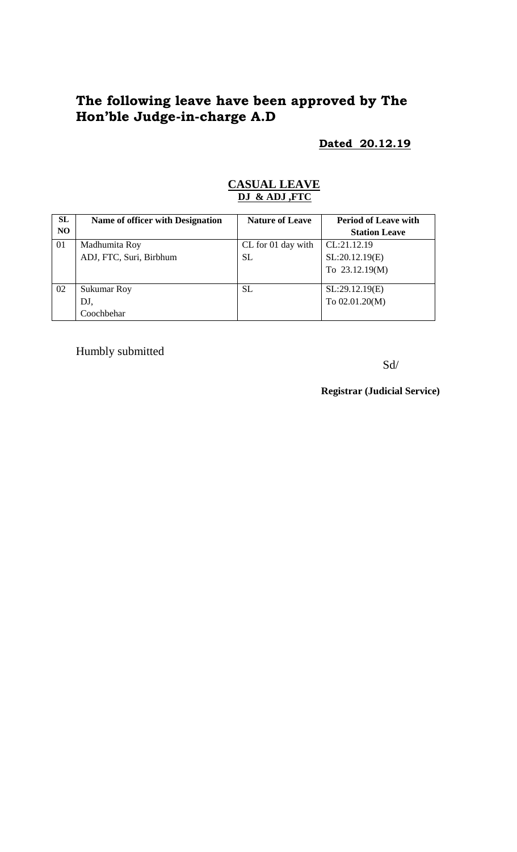# **The following leave have been approved by The Hon'ble Judge-in-charge A.D**

### **Dated 20.12.19**

### **CASUAL LEAVE DJ & ADJ ,FTC**

| SL             | Name of officer with Designation | <b>Nature of Leave</b> | <b>Period of Leave with</b> |
|----------------|----------------------------------|------------------------|-----------------------------|
| N <sub>O</sub> |                                  |                        | <b>Station Leave</b>        |
| 01             | Madhumita Roy                    | CL for 01 day with     | CL:21.12.19                 |
|                | ADJ, FTC, Suri, Birbhum          | <b>SL</b>              | SL:20.12.19(E)              |
|                |                                  |                        | To 23.12.19(M)              |
| 02             | <b>Sukumar Roy</b>               | <b>SL</b>              | SL:29.12.19(E)              |
|                | DJ,                              |                        | To 02.01.20(M)              |
|                | Coochbehar                       |                        |                             |

Humbly submitted

Sd/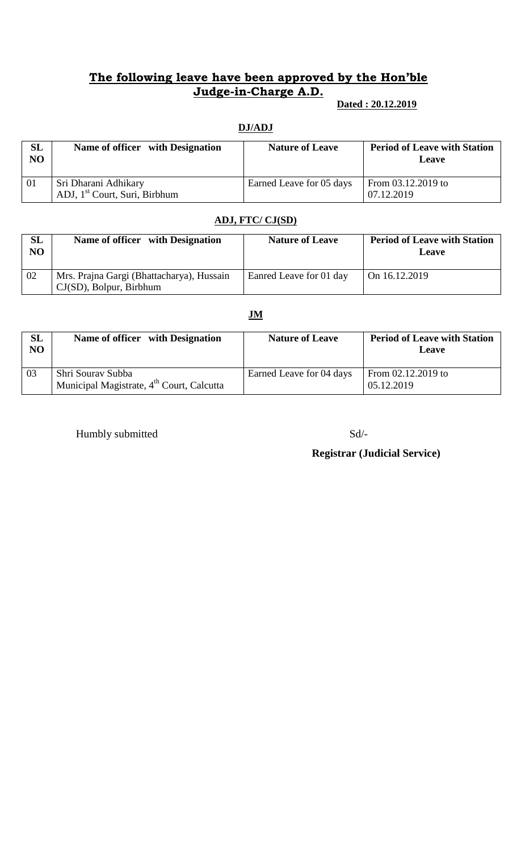## **The following leave have been approved by the Hon'ble Judge-in-Charge A.D.**

### **Dated : 20.12.2019**

#### **DJ/ADJ**

| SL<br>N <sub>O</sub> | Name of officer with Designation                                  | <b>Nature of Leave</b>   | <b>Period of Leave with Station</b><br><b>Leave</b> |
|----------------------|-------------------------------------------------------------------|--------------------------|-----------------------------------------------------|
| 01                   | Sri Dharani Adhikary<br>ADJ, 1 <sup>st</sup> Court, Suri, Birbhum | Earned Leave for 05 days | From $03.12.2019$ to<br>07.12.2019                  |

#### **ADJ, FTC/ CJ(SD)**

| SL<br>NO | Name of officer with Designation                                        | <b>Nature of Leave</b>  | <b>Period of Leave with Station</b><br><b>Leave</b> |
|----------|-------------------------------------------------------------------------|-------------------------|-----------------------------------------------------|
| 02       | Mrs. Prajna Gargi (Bhattacharya), Hussain<br>$CJ(SD)$ , Bolpur, Birbhum | Eanred Leave for 01 day | On $16.12.2019$                                     |

### **JM**

| SL<br>NO | Name of officer with Designation                                           | <b>Nature of Leave</b>   | <b>Period of Leave with Station</b><br>Leave |
|----------|----------------------------------------------------------------------------|--------------------------|----------------------------------------------|
| 03       | Shri Sourav Subba<br>Municipal Magistrate, 4 <sup>th</sup> Court, Calcutta | Earned Leave for 04 days | From $02.12.2019$ to<br>05.12.2019           |

Humbly submitted Sd/-